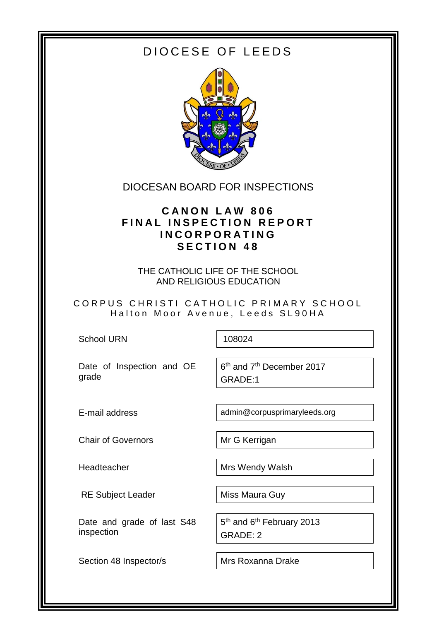# DIOCESE OF LEEDS



## DIOCESAN BOARD FOR INSPECTIONS

### **C A N O N L A W 8 0 6 F I N A L I N S P E C T I O N R E P O R T I N C O R P O R A T I N G S E C T I O N 4 8**

THE CATHOLIC LIFE OF THE SCHOOL AND RELIGIOUS EDUCATION

CORPUS CHRISTI CATHOLIC PRIMARY SCHOOL Halton Moor Avenue, Leeds SL90HA

School URN 108024

 $\overline{\mathsf{r}}$ 

Date of Inspection and OE grade

6<sup>th</sup> and 7<sup>th</sup> December 2017 GRADE:1

Chair of Governors Mr G Kerrigan

RE Subject Leader Miss Maura Guy

Date and grade of last S48 inspection

Section 48 Inspector/s | Mrs Roxanna Drake

E-mail address and admin@corpusprimaryleeds.org

Headteacher Mrs Wendy Walsh

5<sup>th</sup> and 6<sup>th</sup> February 2013 GRADE: 2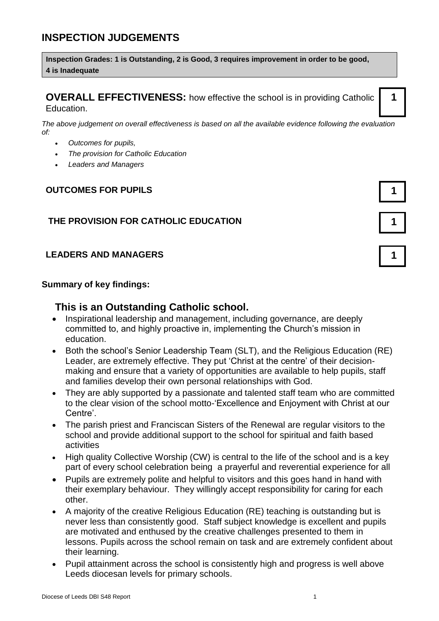**Inspection Grades: 1 is Outstanding, 2 is Good, 3 requires improvement in order to be good, 4 is Inadequate**

**OVERALL EFFECTIVENESS:** how effective the school is in providing Catholic Education.

*The above judgement on overall effectiveness is based on all the available evidence following the evaluation of:* 

- *Outcomes for pupils,*
- *The provision for Catholic Education*
- *Leaders and Managers*

#### **OUTCOMES FOR PUPILS 1**

#### **THE PROVISION FOR CATHOLIC EDUCATION 1**

#### **LEADERS AND MANAGERS 1**

#### **Summary of key findings:**

### **This is an Outstanding Catholic school.**

- Inspirational leadership and management, including governance, are deeply committed to, and highly proactive in, implementing the Church's mission in education.
- Both the school's Senior Leadership Team (SLT), and the Religious Education (RE) Leader, are extremely effective. They put 'Christ at the centre' of their decisionmaking and ensure that a variety of opportunities are available to help pupils, staff and families develop their own personal relationships with God.
- They are ably supported by a passionate and talented staff team who are committed to the clear vision of the school motto-'Excellence and Enjoyment with Christ at our Centre'.
- The parish priest and Franciscan Sisters of the Renewal are regular visitors to the school and provide additional support to the school for spiritual and faith based activities
- High quality Collective Worship (CW) is central to the life of the school and is a key part of every school celebration being a prayerful and reverential experience for all
- Pupils are extremely polite and helpful to visitors and this goes hand in hand with their exemplary behaviour. They willingly accept responsibility for caring for each other.
- A majority of the creative Religious Education (RE) teaching is outstanding but is never less than consistently good. Staff subject knowledge is excellent and pupils are motivated and enthused by the creative challenges presented to them in lessons. Pupils across the school remain on task and are extremely confident about their learning.
- Pupil attainment across the school is consistently high and progress is well above Leeds diocesan levels for primary schools.

**1**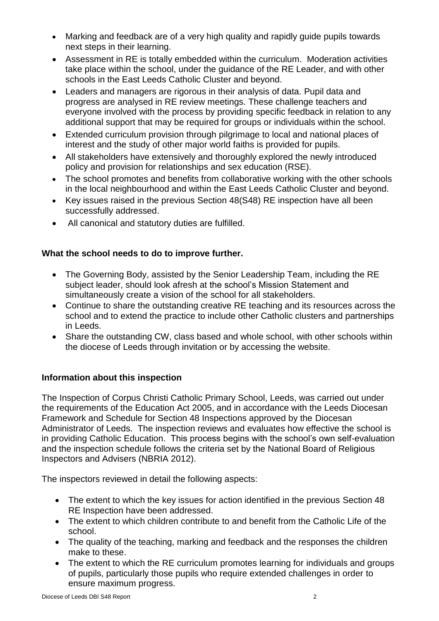- Marking and feedback are of a very high quality and rapidly guide pupils towards next steps in their learning.
- Assessment in RE is totally embedded within the curriculum. Moderation activities take place within the school, under the guidance of the RE Leader, and with other schools in the East Leeds Catholic Cluster and beyond.
- Leaders and managers are rigorous in their analysis of data. Pupil data and progress are analysed in RE review meetings. These challenge teachers and everyone involved with the process by providing specific feedback in relation to any additional support that may be required for groups or individuals within the school.
- Extended curriculum provision through pilgrimage to local and national places of interest and the study of other major world faiths is provided for pupils.
- All stakeholders have extensively and thoroughly explored the newly introduced policy and provision for relationships and sex education (RSE).
- The school promotes and benefits from collaborative working with the other schools in the local neighbourhood and within the East Leeds Catholic Cluster and beyond.
- Key issues raised in the previous Section 48(S48) RE inspection have all been successfully addressed.
- All canonical and statutory duties are fulfilled.

#### **What the school needs to do to improve further.**

- The Governing Body, assisted by the Senior Leadership Team, including the RE subject leader, should look afresh at the school's Mission Statement and simultaneously create a vision of the school for all stakeholders.
- Continue to share the outstanding creative RE teaching and its resources across the school and to extend the practice to include other Catholic clusters and partnerships in Leeds.
- Share the outstanding CW, class based and whole school, with other schools within the diocese of Leeds through invitation or by accessing the website.

#### **Information about this inspection**

The Inspection of Corpus Christi Catholic Primary School, Leeds, was carried out under the requirements of the Education Act 2005, and in accordance with the Leeds Diocesan Framework and Schedule for Section 48 Inspections approved by the Diocesan Administrator of Leeds. The inspection reviews and evaluates how effective the school is in providing Catholic Education. This process begins with the school's own self-evaluation and the inspection schedule follows the criteria set by the National Board of Religious Inspectors and Advisers (NBRIA 2012).

The inspectors reviewed in detail the following aspects:

- The extent to which the key issues for action identified in the previous Section 48 RE Inspection have been addressed.
- The extent to which children contribute to and benefit from the Catholic Life of the school.
- The quality of the teaching, marking and feedback and the responses the children make to these.
- The extent to which the RE curriculum promotes learning for individuals and groups of pupils, particularly those pupils who require extended challenges in order to ensure maximum progress.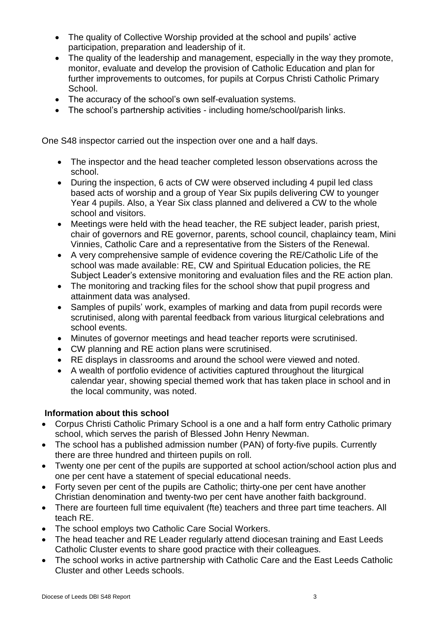- The quality of Collective Worship provided at the school and pupils' active participation, preparation and leadership of it.
- The quality of the leadership and management, especially in the way they promote, monitor, evaluate and develop the provision of Catholic Education and plan for further improvements to outcomes, for pupils at Corpus Christi Catholic Primary School.
- The accuracy of the school's own self-evaluation systems.
- The school's partnership activities including home/school/parish links.

One S48 inspector carried out the inspection over one and a half days.

- The inspector and the head teacher completed lesson observations across the school.
- During the inspection, 6 acts of CW were observed including 4 pupil led class based acts of worship and a group of Year Six pupils delivering CW to younger Year 4 pupils. Also, a Year Six class planned and delivered a CW to the whole school and visitors.
- Meetings were held with the head teacher, the RE subject leader, parish priest, chair of governors and RE governor, parents, school council, chaplaincy team, Mini Vinnies, Catholic Care and a representative from the Sisters of the Renewal.
- A very comprehensive sample of evidence covering the RE/Catholic Life of the school was made available: RE, CW and Spiritual Education policies, the RE Subject Leader's extensive monitoring and evaluation files and the RE action plan.
- The monitoring and tracking files for the school show that pupil progress and attainment data was analysed.
- Samples of pupils' work, examples of marking and data from pupil records were scrutinised, along with parental feedback from various liturgical celebrations and school events.
- Minutes of governor meetings and head teacher reports were scrutinised.
- CW planning and RE action plans were scrutinised.
- RE displays in classrooms and around the school were viewed and noted.
- A wealth of portfolio evidence of activities captured throughout the liturgical calendar year, showing special themed work that has taken place in school and in the local community, was noted.

#### **Information about this school**

- Corpus Christi Catholic Primary School is a one and a half form entry Catholic primary school, which serves the parish of Blessed John Henry Newman.
- The school has a published admission number (PAN) of forty-five pupils. Currently there are three hundred and thirteen pupils on roll.
- Twenty one per cent of the pupils are supported at school action/school action plus and one per cent have a statement of special educational needs.
- Forty seven per cent of the pupils are Catholic; thirty-one per cent have another Christian denomination and twenty-two per cent have another faith background.
- There are fourteen full time equivalent (fte) teachers and three part time teachers. All teach RE.
- The school employs two Catholic Care Social Workers.
- The head teacher and RE Leader regularly attend diocesan training and East Leeds Catholic Cluster events to share good practice with their colleagues.
- The school works in active partnership with Catholic Care and the East Leeds Catholic Cluster and other Leeds schools.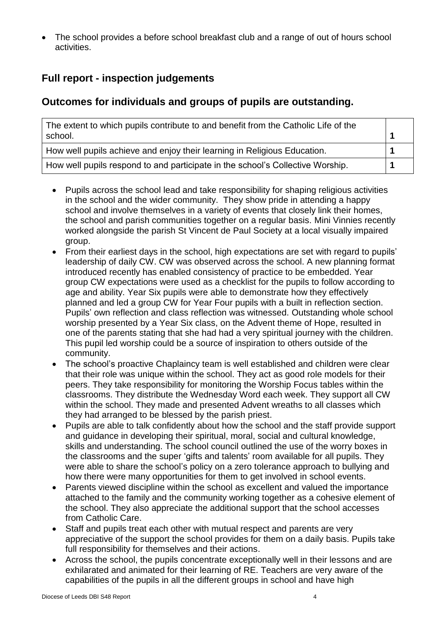• The school provides a before school breakfast club and a range of out of hours school activities.

## **Full report - inspection judgements**

## **Outcomes for individuals and groups of pupils are outstanding.**

| The extent to which pupils contribute to and benefit from the Catholic Life of the<br>school. |  |
|-----------------------------------------------------------------------------------------------|--|
| How well pupils achieve and enjoy their learning in Religious Education.                      |  |
| How well pupils respond to and participate in the school's Collective Worship.                |  |

- Pupils across the school lead and take responsibility for shaping religious activities in the school and the wider community. They show pride in attending a happy school and involve themselves in a variety of events that closely link their homes, the school and parish communities together on a regular basis. Mini Vinnies recently worked alongside the parish St Vincent de Paul Society at a local visually impaired group.
- From their earliest days in the school, high expectations are set with regard to pupils' leadership of daily CW. CW was observed across the school. A new planning format introduced recently has enabled consistency of practice to be embedded. Year group CW expectations were used as a checklist for the pupils to follow according to age and ability. Year Six pupils were able to demonstrate how they effectively planned and led a group CW for Year Four pupils with a built in reflection section. Pupils' own reflection and class reflection was witnessed. Outstanding whole school worship presented by a Year Six class, on the Advent theme of Hope, resulted in one of the parents stating that she had had a very spiritual journey with the children. This pupil led worship could be a source of inspiration to others outside of the community.
- The school's proactive Chaplaincy team is well established and children were clear that their role was unique within the school. They act as good role models for their peers. They take responsibility for monitoring the Worship Focus tables within the classrooms. They distribute the Wednesday Word each week. They support all CW within the school. They made and presented Advent wreaths to all classes which they had arranged to be blessed by the parish priest.
- Pupils are able to talk confidently about how the school and the staff provide support and guidance in developing their spiritual, moral, social and cultural knowledge, skills and understanding. The school council outlined the use of the worry boxes in the classrooms and the super 'gifts and talents' room available for all pupils. They were able to share the school's policy on a zero tolerance approach to bullying and how there were many opportunities for them to get involved in school events.
- Parents viewed discipline within the school as excellent and valued the importance attached to the family and the community working together as a cohesive element of the school. They also appreciate the additional support that the school accesses from Catholic Care.
- Staff and pupils treat each other with mutual respect and parents are very appreciative of the support the school provides for them on a daily basis. Pupils take full responsibility for themselves and their actions.
- Across the school, the pupils concentrate exceptionally well in their lessons and are exhilarated and animated for their learning of RE. Teachers are very aware of the capabilities of the pupils in all the different groups in school and have high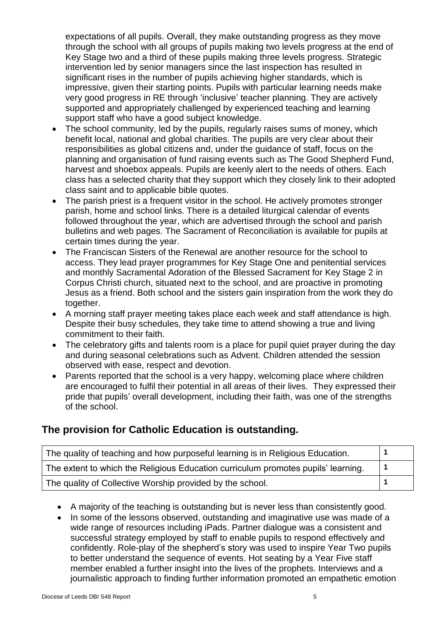expectations of all pupils. Overall, they make outstanding progress as they move through the school with all groups of pupils making two levels progress at the end of Key Stage two and a third of these pupils making three levels progress. Strategic intervention led by senior managers since the last inspection has resulted in significant rises in the number of pupils achieving higher standards, which is impressive, given their starting points. Pupils with particular learning needs make very good progress in RE through 'inclusive' teacher planning. They are actively supported and appropriately challenged by experienced teaching and learning support staff who have a good subject knowledge.

- The school community, led by the pupils, regularly raises sums of money, which benefit local, national and global charities. The pupils are very clear about their responsibilities as global citizens and, under the guidance of staff, focus on the planning and organisation of fund raising events such as The Good Shepherd Fund, harvest and shoebox appeals. Pupils are keenly alert to the needs of others. Each class has a selected charity that they support which they closely link to their adopted class saint and to applicable bible quotes.
- The parish priest is a frequent visitor in the school. He actively promotes stronger parish, home and school links. There is a detailed liturgical calendar of events followed throughout the year, which are advertised through the school and parish bulletins and web pages. The Sacrament of Reconciliation is available for pupils at certain times during the year.
- The Franciscan Sisters of the Renewal are another resource for the school to access. They lead prayer programmes for Key Stage One and penitential services and monthly Sacramental Adoration of the Blessed Sacrament for Key Stage 2 in Corpus Christi church, situated next to the school, and are proactive in promoting Jesus as a friend. Both school and the sisters gain inspiration from the work they do together.
- A morning staff prayer meeting takes place each week and staff attendance is high. Despite their busy schedules, they take time to attend showing a true and living commitment to their faith.
- The celebratory gifts and talents room is a place for pupil quiet prayer during the day and during seasonal celebrations such as Advent. Children attended the session observed with ease, respect and devotion.
- Parents reported that the school is a very happy, welcoming place where children are encouraged to fulfil their potential in all areas of their lives. They expressed their pride that pupils' overall development, including their faith, was one of the strengths of the school.

## **The provision for Catholic Education is outstanding.**

| The quality of teaching and how purposeful learning is in Religious Education.    |  |
|-----------------------------------------------------------------------------------|--|
| The extent to which the Religious Education curriculum promotes pupils' learning. |  |
| The quality of Collective Worship provided by the school.                         |  |

- A majority of the teaching is outstanding but is never less than consistently good.
- In some of the lessons observed, outstanding and imaginative use was made of a wide range of resources including iPads. Partner dialogue was a consistent and successful strategy employed by staff to enable pupils to respond effectively and confidently. Role-play of the shepherd's story was used to inspire Year Two pupils to better understand the sequence of events. Hot seating by a Year Five staff member enabled a further insight into the lives of the prophets. Interviews and a journalistic approach to finding further information promoted an empathetic emotion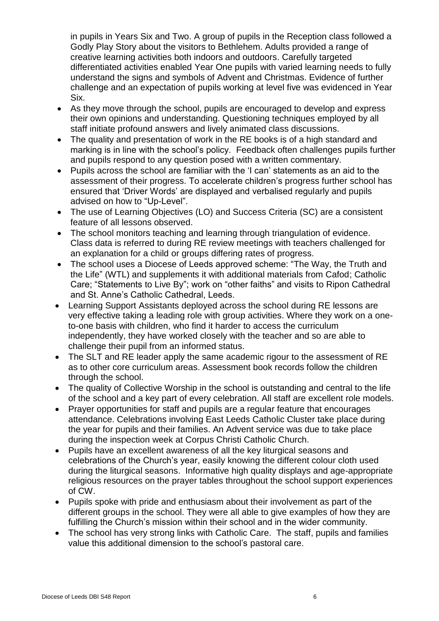in pupils in Years Six and Two. A group of pupils in the Reception class followed a Godly Play Story about the visitors to Bethlehem. Adults provided a range of creative learning activities both indoors and outdoors. Carefully targeted differentiated activities enabled Year One pupils with varied learning needs to fully understand the signs and symbols of Advent and Christmas. Evidence of further challenge and an expectation of pupils working at level five was evidenced in Year Six.

- As they move through the school, pupils are encouraged to develop and express their own opinions and understanding. Questioning techniques employed by all staff initiate profound answers and lively animated class discussions.
- The quality and presentation of work in the RE books is of a high standard and marking is in line with the school's policy. Feedback often challenges pupils further and pupils respond to any question posed with a written commentary.
- Pupils across the school are familiar with the 'I can' statements as an aid to the assessment of their progress. To accelerate children's progress further school has ensured that 'Driver Words' are displayed and verbalised regularly and pupils advised on how to "Up-Level".
- The use of Learning Objectives (LO) and Success Criteria (SC) are a consistent feature of all lessons observed.
- The school monitors teaching and learning through triangulation of evidence. Class data is referred to during RE review meetings with teachers challenged for an explanation for a child or groups differing rates of progress.
- The school uses a Diocese of Leeds approved scheme: "The Way, the Truth and the Life" (WTL) and supplements it with additional materials from Cafod; Catholic Care; "Statements to Live By"; work on "other faiths" and visits to Ripon Cathedral and St. Anne's Catholic Cathedral, Leeds.
- Learning Support Assistants deployed across the school during RE lessons are very effective taking a leading role with group activities. Where they work on a oneto-one basis with children, who find it harder to access the curriculum independently, they have worked closely with the teacher and so are able to challenge their pupil from an informed status.
- The SLT and RE leader apply the same academic rigour to the assessment of RE as to other core curriculum areas. Assessment book records follow the children through the school.
- The quality of Collective Worship in the school is outstanding and central to the life of the school and a key part of every celebration. All staff are excellent role models.
- Prayer opportunities for staff and pupils are a regular feature that encourages attendance. Celebrations involving East Leeds Catholic Cluster take place during the year for pupils and their families. An Advent service was due to take place during the inspection week at Corpus Christi Catholic Church.
- Pupils have an excellent awareness of all the key liturgical seasons and celebrations of the Church's year, easily knowing the different colour cloth used during the liturgical seasons. Informative high quality displays and age-appropriate religious resources on the prayer tables throughout the school support experiences of CW.
- Pupils spoke with pride and enthusiasm about their involvement as part of the different groups in the school. They were all able to give examples of how they are fulfilling the Church's mission within their school and in the wider community.
- The school has very strong links with Catholic Care. The staff, pupils and families value this additional dimension to the school's pastoral care.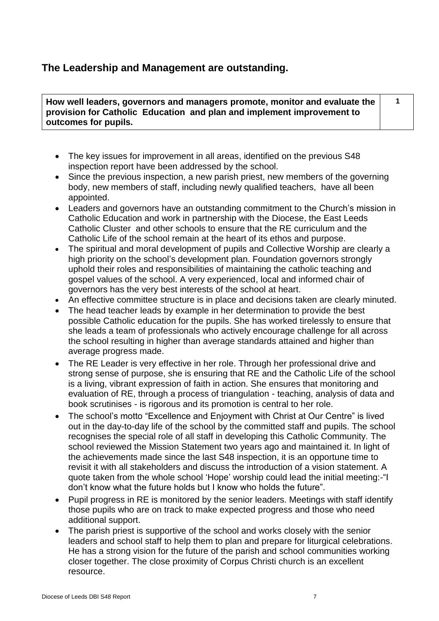### **The Leadership and Management are outstanding.**

**How well leaders, governors and managers promote, monitor and evaluate the provision for Catholic Education and plan and implement improvement to outcomes for pupils.**

- The key issues for improvement in all areas, identified on the previous S48 inspection report have been addressed by the school.
- Since the previous inspection, a new parish priest, new members of the governing body, new members of staff, including newly qualified teachers, have all been appointed.
- Leaders and governors have an outstanding commitment to the Church's mission in Catholic Education and work in partnership with the Diocese, the East Leeds Catholic Cluster and other schools to ensure that the RE curriculum and the Catholic Life of the school remain at the heart of its ethos and purpose.
- The spiritual and moral development of pupils and Collective Worship are clearly a high priority on the school's development plan. Foundation governors strongly uphold their roles and responsibilities of maintaining the catholic teaching and gospel values of the school. A very experienced, local and informed chair of governors has the very best interests of the school at heart.
- An effective committee structure is in place and decisions taken are clearly minuted.
- The head teacher leads by example in her determination to provide the best possible Catholic education for the pupils. She has worked tirelessly to ensure that she leads a team of professionals who actively encourage challenge for all across the school resulting in higher than average standards attained and higher than average progress made.
- The RE Leader is very effective in her role. Through her professional drive and strong sense of purpose, she is ensuring that RE and the Catholic Life of the school is a living, vibrant expression of faith in action. She ensures that monitoring and evaluation of RE, through a process of triangulation - teaching, analysis of data and book scrutinises - is rigorous and its promotion is central to her role.
- The school's motto "Excellence and Enjoyment with Christ at Our Centre" is lived out in the day-to-day life of the school by the committed staff and pupils. The school recognises the special role of all staff in developing this Catholic Community. The school reviewed the Mission Statement two years ago and maintained it. In light of the achievements made since the last S48 inspection, it is an opportune time to revisit it with all stakeholders and discuss the introduction of a vision statement. A quote taken from the whole school 'Hope' worship could lead the initial meeting:-"I don't know what the future holds but I know who holds the future".
- Pupil progress in RE is monitored by the senior leaders. Meetings with staff identify those pupils who are on track to make expected progress and those who need additional support.
- The parish priest is supportive of the school and works closely with the senior leaders and school staff to help them to plan and prepare for liturgical celebrations. He has a strong vision for the future of the parish and school communities working closer together. The close proximity of Corpus Christi church is an excellent resource.

**1**